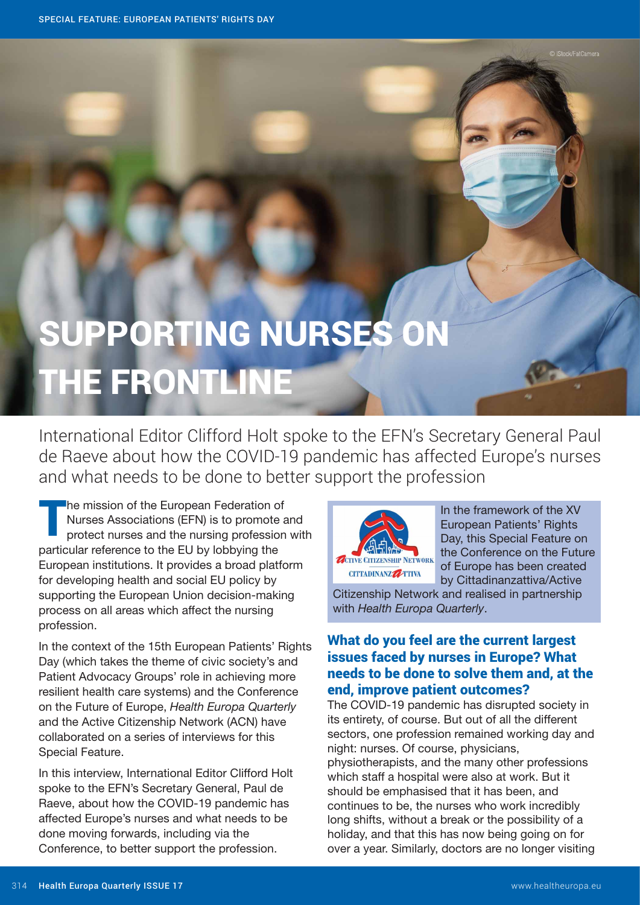# SUPPORTING NURSES ON THE FRONTLINE

International Editor Clifford Holt spoke to the EFN's Secretary General Paul de Raeve about how the COVID-19 pandemic has affected Europe's nurses and what needs to be done to better support the profession

**The mission of the European Federation of** Nurses Associations (EFN) is to promote and protect nurses and the nursing profession with particular reference to the EU by lobbying the European institutions. It provides a broad platform for developing health and social EU policy by supporting the European Union decision-making process on all areas which affect the nursing profession.

In the context of the 15th European Patients' Rights Day (which takes the theme of civic society's and Patient Advocacy Groups' role in achieving more resilient health care systems) and the Conference on the Future of Europe, Health Europa Quarterly and the Active Citizenship Network (ACN) have collaborated on a series of interviews for this Special Feature.

In this interview, International Editor Clifford Holt spoke to the EFN's Secretary General, Paul de Raeve, about how the COVID-19 pandemic has affected Europe's nurses and what needs to be done moving forwards, including via the Conference, to better support the profession.



In the framework of the XV European Patients' Rights Day, this Special Feature on the Conference on the Future of Europe has been created by Cittadinanzattiva/Active

Citizenship Network and realised in partnership with Health Europa Quarterly.

## What do you feel are the current largest issues faced by nurses in Europe? What needs to be done to solve them and, at the end, improve patient outcomes?

The COVID-19 pandemic has disrupted society in its entirety, of course. But out of all the different sectors, one profession remained working day and night: nurses. Of course, physicians,

physiotherapists, and the many other professions which staff a hospital were also at work. But it should be emphasised that it has been, and continues to be, the nurses who work incredibly long shifts, without a break or the possibility of a holiday, and that this has now being going on for over a year. Similarly, doctors are no longer visiting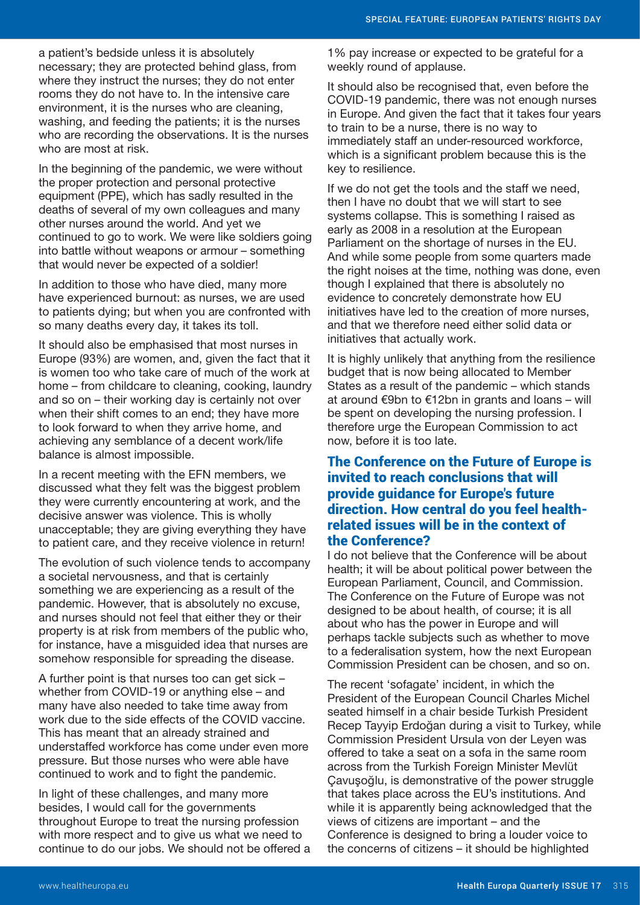a patient's bedside unless it is absolutely necessary; they are protected behind glass, from where they instruct the nurses; they do not enter rooms they do not have to. In the intensive care environment, it is the nurses who are cleaning, washing, and feeding the patients; it is the nurses who are recording the observations. It is the nurses who are most at risk.

In the beginning of the pandemic, we were without the proper protection and personal protective equipment (PPE), which has sadly resulted in the deaths of several of my own colleagues and many other nurses around the world. And yet we continued to go to work. We were like soldiers going into battle without weapons or armour – something that would never be expected of a soldier!

In addition to those who have died, many more have experienced burnout: as nurses, we are used to patients dying; but when you are confronted with so many deaths every day, it takes its toll.

It should also be emphasised that most nurses in Europe (93%) are women, and, given the fact that it is women too who take care of much of the work at home – from childcare to cleaning, cooking, laundry and so on – their working day is certainly not over when their shift comes to an end; they have more to look forward to when they arrive home, and achieving any semblance of a decent work/life balance is almost impossible.

In a recent meeting with the EFN members, we discussed what they felt was the biggest problem they were currently encountering at work, and the decisive answer was violence. This is wholly unacceptable; they are giving everything they have to patient care, and they receive violence in return!

The evolution of such violence tends to accompany a societal nervousness, and that is certainly something we are experiencing as a result of the pandemic. However, that is absolutely no excuse, and nurses should not feel that either they or their property is at risk from members of the public who, for instance, have a misguided idea that nurses are somehow responsible for spreading the disease.

A further point is that nurses too can get sick – whether from COVID-19 or anything else – and many have also needed to take time away from work due to the side effects of the COVID vaccine. This has meant that an already strained and understaffed workforce has come under even more pressure. But those nurses who were able have continued to work and to fight the pandemic.

In light of these challenges, and many more besides, I would call for the governments throughout Europe to treat the nursing profession with more respect and to give us what we need to continue to do our jobs. We should not be offered a 1% pay increase or expected to be grateful for a weekly round of applause.

It should also be recognised that, even before the COVID-19 pandemic, there was not enough nurses in Europe. And given the fact that it takes four years to train to be a nurse, there is no way to immediately staff an under-resourced workforce, which is a significant problem because this is the key to resilience.

If we do not get the tools and the staff we need, then I have no doubt that we will start to see systems collapse. This is something I raised as early as 2008 in a resolution at the European Parliament on the shortage of nurses in the EU. And while some people from some quarters made the right noises at the time, nothing was done, even though I explained that there is absolutely no evidence to concretely demonstrate how EU initiatives have led to the creation of more nurses, and that we therefore need either solid data or initiatives that actually work.

It is highly unlikely that anything from the resilience budget that is now being allocated to Member States as a result of the pandemic – which stands at around €9bn to €12bn in grants and loans – will be spent on developing the nursing profession. I therefore urge the European Commission to act now, before it is too late.

### The Conference on the Future of Europe is invited to reach conclusions that will provide guidance for Europe's future direction. How central do you feel healthrelated issues will be in the context of the Conference?

I do not believe that the Conference will be about health; it will be about political power between the European Parliament, Council, and Commission. The Conference on the Future of Europe was not designed to be about health, of course; it is all about who has the power in Europe and will perhaps tackle subjects such as whether to move to a federalisation system, how the next European Commission President can be chosen, and so on.

The recent 'sofagate' incident, in which the President of the European Council Charles Michel seated himself in a chair beside Turkish President Recep Tayyip Erdoğan during a visit to Turkey, while Commission President Ursula von der Leyen was offered to take a seat on a sofa in the same room across from the Turkish Foreign Minister Mevlüt Çavuşoğlu, is demonstrative of the power struggle that takes place across the EU's institutions. And while it is apparently being acknowledged that the views of citizens are important – and the Conference is designed to bring a louder voice to the concerns of citizens – it should be highlighted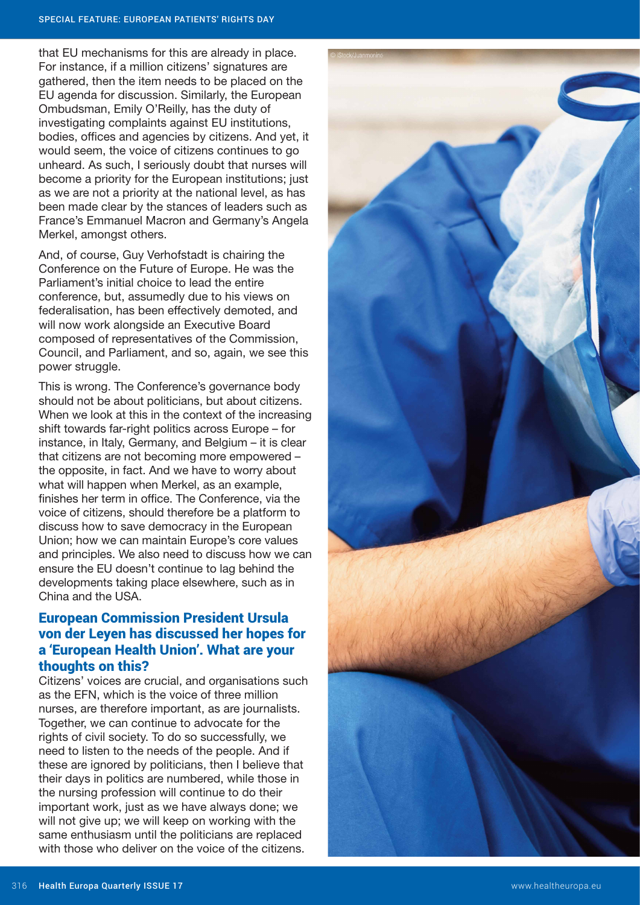that EU mechanisms for this are already in place. For instance, if a million citizens' signatures are gathered, then the item needs to be placed on the EU agenda for discussion. Similarly, the European Ombudsman, Emily O'Reilly, has the duty of investigating complaints against EU institutions, bodies, offices and agencies by citizens. And yet, it would seem, the voice of citizens continues to go unheard. As such, I seriously doubt that nurses will become a priority for the European institutions; just as we are not a priority at the national level, as has been made clear by the stances of leaders such as France's Emmanuel Macron and Germany's Angela Merkel, amongst others.

And, of course, Guy Verhofstadt is chairing the Conference on the Future of Europe. He was the Parliament's initial choice to lead the entire conference, but, assumedly due to his views on federalisation, has been effectively demoted, and will now work alongside an Executive Board composed of representatives of the Commission, Council, and Parliament, and so, again, we see this power struggle.

This is wrong. The Conference's governance body should not be about politicians, but about citizens. When we look at this in the context of the increasing shift towards far-right politics across Europe – for instance, in Italy, Germany, and Belgium – it is clear that citizens are not becoming more empowered – the opposite, in fact. And we have to worry about what will happen when Merkel, as an example, finishes her term in office. The Conference, via the voice of citizens, should therefore be a platform to discuss how to save democracy in the European Union; how we can maintain Europe's core values and principles. We also need to discuss how we can ensure the EU doesn't continue to lag behind the developments taking place elsewhere, such as in China and the USA.

## European Commission President Ursula von der Leyen has discussed her hopes for a 'European Health Union'. What are your thoughts on this?

Citizens' voices are crucial, and organisations such as the EFN, which is the voice of three million nurses, are therefore important, as are journalists. Together, we can continue to advocate for the rights of civil society. To do so successfully, we need to listen to the needs of the people. And if these are ignored by politicians, then I believe that their days in politics are numbered, while those in the nursing profession will continue to do their important work, just as we have always done; we will not give up; we will keep on working with the same enthusiasm until the politicians are replaced with those who deliver on the voice of the citizens.